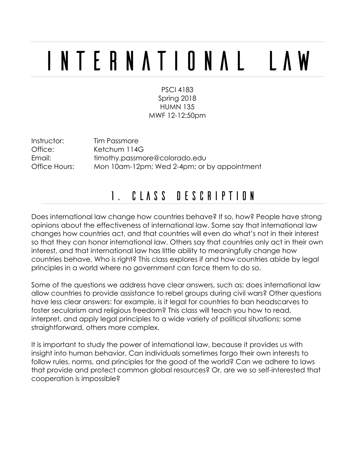# International Law

PSCI 4183 Spring 2018 HUMN 135 MWF 12-12:50pm

Instructor: Tim Passmore Office: Ketchum 114G Email: timothy.passmore@colorado.edu Office Hours: Mon 10am-12pm; Wed 2-4pm; or by appointment

## 1. Class Description

Does international law change how countries behave? If so, how? People have strong opinions about the effectiveness of international law. Some say that international law changes how countries act, and that countries will even do what's not in their interest so that they can honor international law. Others say that countries only act in their own interest, and that international law has little ability to meaningfully change how countries behave. Who is right? This class explores if and how countries abide by legal principles in a world where no government can force them to do so.

Some of the questions we address have clear answers, such as: does international law allow countries to provide assistance to rebel groups during civil wars? Other questions have less clear answers: for example, is it legal for countries to ban headscarves to foster secularism and religious freedom? This class will teach you how to read, interpret, and apply legal principles to a wide variety of political situations; some straightforward, others more complex.

It is important to study the power of international law, because it provides us with insight into human behavior. Can individuals sometimes forgo their own interests to follow rules, norms, and principles for the good of the world? Can we adhere to laws that provide and protect common global resources? Or, are we so self-interested that cooperation is impossible?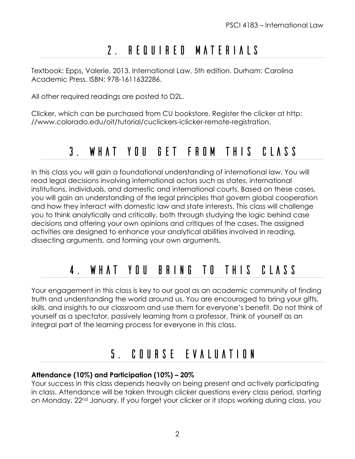# 2. Required materials

Textbook: Epps, Valerie. 2013. International Law, 5th edition. Durham: Carolina Academic Press. ISBN: 978-1611632286.

All other required readings are posted to D2L.

Clicker, which can be purchased from CU bookstore. Register the clicker at http: //www.colorado.edu/oit/tutorial/cuclickers-iclicker-remote-registration.

### 3. What you get from this class

In this class you will gain a foundational understanding of international law. You will read legal decisions involving international actors such as states, international institutions, individuals, and domestic and international courts. Based on these cases, you will gain an understanding of the legal principles that govern global cooperation and how they interact with domestic law and state interests. This class will challenge you to think analytically and critically, both through studying the logic behind case decisions and offering your own opinions and critiques of the cases. The assigned activities are designed to enhance your analytical abilities involved in reading, dissecting arguments, and forming your own arguments.

# 4. What you bring to this class

Your engagement in this class is key to our goal as an academic community of finding truth and understanding the world around us. You are encouraged to bring your gifts, skills, and insights to our classroom and use them for everyone's benefit. Do not think of yourself as a spectator, passively learning from a professor. Think of yourself as an integral part of the learning process for everyone in this class.

## 5. Course Evaluation

#### **Attendance (10%) and Participation (10%) – 20%**

Your success in this class depends heavily on being present and actively participating in class. Attendance will be taken through clicker questions every class period, starting on Monday, 22nd January. If you forget your clicker or it stops working during class, you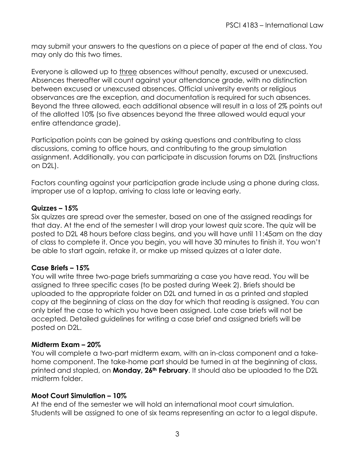may submit your answers to the questions on a piece of paper at the end of class. You may only do this two times.

Everyone is allowed up to three absences without penalty, excused or unexcused. Absences thereafter will count against your attendance grade, with no distinction between excused or unexcused absences. Official university events or religious observances are the exception, and documentation is required for such absences. Beyond the three allowed, each additional absence will result in a loss of 2% points out of the allotted 10% (so five absences beyond the three allowed would equal your entire attendance grade).

Participation points can be gained by asking questions and contributing to class discussions, coming to office hours, and contributing to the group simulation assignment. Additionally, you can participate in discussion forums on D2L (instructions on D2L).

Factors counting against your participation grade include using a phone during class, improper use of a laptop, arriving to class late or leaving early.

#### **Quizzes – 15%**

Six quizzes are spread over the semester, based on one of the assigned readings for that day. At the end of the semester I will drop your lowest quiz score. The quiz will be posted to D2L 48 hours before class begins, and you will have until 11:45am on the day of class to complete it. Once you begin, you will have 30 minutes to finish it. You won't be able to start again, retake it, or make up missed quizzes at a later date.

#### **Case Briefs – 15%**

You will write three two-page briefs summarizing a case you have read. You will be assigned to three specific cases (to be posted during Week 2). Briefs should be uploaded to the appropriate folder on D2L and turned in as a printed and stapled copy at the beginning of class on the day for which that reading is assigned. You can only brief the case to which you have been assigned. Late case briefs will not be accepted. Detailed guidelines for writing a case brief and assigned briefs will be posted on D2L.

#### **Midterm Exam – 20%**

You will complete a two-part midterm exam, with an in-class component and a takehome component. The take-home part should be turned in at the beginning of class, printed and stapled, on **Monday, 26th February**. It should also be uploaded to the D2L midterm folder.

#### **Moot Court Simulation – 10%**

At the end of the semester we will hold an international moot court simulation. Students will be assigned to one of six teams representing an actor to a legal dispute.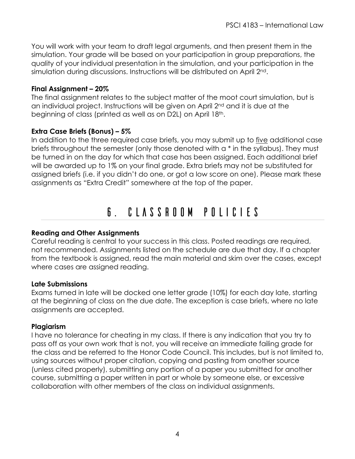You will work with your team to draft legal arguments, and then present them in the simulation. Your grade will be based on your participation in group preparations, the quality of your individual presentation in the simulation, and your participation in the simulation during discussions. Instructions will be distributed on April 2nd.

#### **Final Assignment – 20%**

The final assignment relates to the subject matter of the moot court simulation, but is an individual project. Instructions will be given on April 2nd and it is due at the beginning of class (printed as well as on D2L) on April 18<sup>th</sup>.

#### **Extra Case Briefs (Bonus) – 5%**

In addition to the three required case briefs, you may submit up to five additional case briefs throughout the semester (only those denoted with a \* in the syllabus). They must be turned in on the day for which that case has been assigned. Each additional brief will be awarded up to 1% on your final grade. Extra briefs may not be substituted for assigned briefs (i.e. if you didn't do one, or got a low score on one). Please mark these assignments as "Extra Credit" somewhere at the top of the paper.

## 6. Classroom Policies

#### **Reading and Other Assignments**

Careful reading is central to your success in this class. Posted readings are required, not recommended. Assignments listed on the schedule are due that day. If a chapter from the textbook is assigned, read the main material and skim over the cases, except where cases are assigned reading.

#### **Late Submissions**

Exams turned in late will be docked one letter grade (10%) for each day late, starting at the beginning of class on the due date. The exception is case briefs, where no late assignments are accepted.

#### **Plagiarism**

I have no tolerance for cheating in my class. If there is any indication that you try to pass off as your own work that is not, you will receive an immediate failing grade for the class and be referred to the Honor Code Council. This includes, but is not limited to, using sources without proper citation, copying and pasting from another source (unless cited properly), submitting any portion of a paper you submitted for another course, submitting a paper written in part or whole by someone else, or excessive collaboration with other members of the class on individual assignments.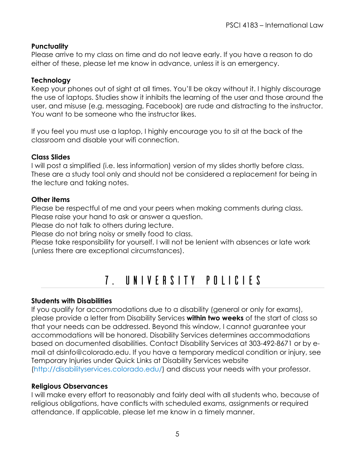#### **Punctuality**

Please arrive to my class on time and do not leave early. If you have a reason to do either of these, please let me know in advance, unless it is an emergency.

#### **Technology**

Keep your phones out of sight at all times. You'll be okay without it. I highly discourage the use of laptops. Studies show it inhibits the learning of the user and those around the user, and misuse (e.g. messaging, Facebook) are rude and distracting to the instructor. You want to be someone who the instructor likes.

If you feel you must use a laptop, I highly encourage you to sit at the back of the classroom and disable your wifi connection.

#### **Class Slides**

I will post a simplified (i.e. less information) version of my slides shortly before class. These are a study tool only and should not be considered a replacement for being in the lecture and taking notes.

#### **Other items**

Please be respectful of me and your peers when making comments during class. Please raise your hand to ask or answer a question.

Please do not talk to others during lecture.

Please do not bring noisy or smelly food to class.

Please take responsibility for yourself. I will not be lenient with absences or late work (unless there are exceptional circumstances).

## 7. University Policies

#### **Students with Disabilities**

If you qualify for accommodations due to a disability (general or only for exams), please provide a letter from Disability Services **within two weeks** of the start of class so that your needs can be addressed. Beyond this window, I cannot guarantee your accommodations will be honored. Disability Services determines accommodations based on documented disabilities. Contact Disability Services at 303-492-8671 or by email at dsinfo@colorado.edu. If you have a temporary medical condition or injury, see Temporary Injuries under Quick Links at Disability Services website (http://disabilityservices.colorado.edu/) and discuss your needs with your professor.

#### **Religious Observances**

I will make every effort to reasonably and fairly deal with all students who, because of religious obligations, have conflicts with scheduled exams, assignments or required attendance. If applicable, please let me know in a timely manner.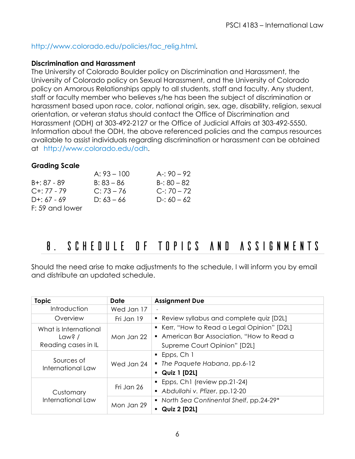#### http://www.colorado.edu/policies/fac\_relig.html.

#### **Discrimination and Harassment**

The University of Colorado Boulder policy on Discrimination and Harassment, the University of Colorado policy on Sexual Harassment, and the University of Colorado policy on Amorous Relationships apply to all students, staff and faculty. Any student, staff or faculty member who believes s/he has been the subject of discrimination or harassment based upon race, color, national origin, sex, age, disability, religion, sexual orientation, or veteran status should contact the Office of Discrimination and Harassment (ODH) at 303-492-2127 or the Office of Judicial Affairs at 303-492-5550. Information about the ODH, the above referenced policies and the campus resources available to assist individuals regarding discrimination or harassment can be obtained at http://www.colorado.edu/odh.

#### **Grading Scale**

|                 | $A: 93 - 100$ | A-: $90 - 92$ |
|-----------------|---------------|---------------|
| $B + 87 - 89$   | $B: 83 - 86$  | $B - 80 - 82$ |
| $C+: 77 - 79$   | $C: 73 - 76$  | $C-70-72$     |
| $D+: 67 - 69$   | $D: 63 - 66$  | $D-: 60 - 62$ |
| F: 59 and lower |               |               |

## 8. Schedule of Topics and Assignments

Should the need arise to make adjustments to the schedule, I will inform you by email and distribute an updated schedule.

| <b>Topic</b>                    | Date       | <b>Assignment Due</b>                       |
|---------------------------------|------------|---------------------------------------------|
| Introduction                    | Wed Jan 17 |                                             |
| Overview                        | Fri Jan 19 | • Review syllabus and complete quiz [D2L]   |
| What is International           |            | • Kerr, "How to Read a Legal Opinion" [D2L] |
| Law? /                          | Mon Jan 22 | • American Bar Association, "How to Read a  |
| Reading cases in IL             |            | Supreme Court Opinion" [D2L]                |
| Sources of<br>International Law | Wed Jan 24 | $\blacksquare$ Epps, Ch 1                   |
|                                 |            | • The Paquete Habana, pp.6-12               |
|                                 |            | $\blacksquare$ Quiz 1 [D2L]                 |
| Customary<br>International Law  | Fri Jan 26 | • Epps, Ch1 (review pp.21-24)               |
|                                 |            | Abdullahi v. Pfizer, pp.12-20               |
|                                 | Mon Jan 29 | • North Sea Continental Shelf, pp.24-29*    |
|                                 |            | <b>Quiz 2 [D2L]</b>                         |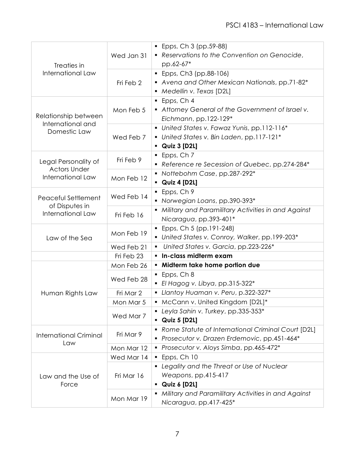| Treaties in<br>International Law                                 | Wed Jan 31 | Epps, Ch 3 (pp.59-88)<br>Reservations to the Convention on Genocide,<br>pp.62-67*                             |
|------------------------------------------------------------------|------------|---------------------------------------------------------------------------------------------------------------|
|                                                                  | Fri Feb 2  | Epps, Ch3 (pp.88-106)<br>٠<br>Avena and Other Mexican Nationals, pp.71-82*<br>• Medellin v. Texas [D2L]       |
| Relationship between<br>International and<br>Domestic Law        | Mon Feb 5  | Epps, Ch 4<br>• Attorney General of the Government of Israel v.<br>Eichmann, pp.122-129*                      |
|                                                                  | Wed Feb 7  | United States v. Fawaz Yunis, pp.112-116*<br>• United States v. Bin Laden, pp.117-121*<br><b>Quiz 3 [D2L]</b> |
| Legal Personality of<br><b>Actors Under</b><br>International Law | Fri Feb 9  | $\blacksquare$ Epps, Ch 7<br>Reference re Secession of Quebec, pp.274-284*                                    |
|                                                                  | Mon Feb 12 | Nottebohm Case, pp.287-292*<br>$\bullet$ Quiz 4 [D2L]                                                         |
| Peaceful Settlement<br>of Disputes in<br>International Law       | Wed Feb 14 | Epps, Ch 9<br>$\blacksquare$<br>• Norwegian Loans, pp.390-393*                                                |
|                                                                  | Fri Feb 16 | · Military and Paramilitary Activities in and Against<br>Nicaragua, pp.393-401*                               |
| Law of the Sea                                                   | Mon Feb 19 | $\blacksquare$ Epps, Ch 5 (pp.191-248)<br>• United States v. Conroy, Walker, pp.199-203*                      |
|                                                                  | Wed Feb 21 | United States v. Garcia, pp.223-226*                                                                          |
|                                                                  | Fri Feb 23 | · In-class midterm exam                                                                                       |
|                                                                  | Mon Feb 26 | • Midterm take home portion due                                                                               |
| Human Rights Law                                                 | Wed Feb 28 | Epps, Ch 8<br>El Hagog v. Libya, pp.315-322*<br>$\blacksquare$                                                |
|                                                                  | Fri Mar 2  | • Llantoy Huaman v. Peru, p.322-327*                                                                          |
|                                                                  | Mon Mar 5  | McCann v. United Kingdom [D2L]*                                                                               |
|                                                                  | Wed Mar 7  | Leyla Sahin v. Turkey, pp.335-353*<br><b>Quiz 5 [D2L]</b>                                                     |
| <b>International Criminal</b><br>Law                             | Fri Mar 9  | Rome Statute of International Criminal Court [D2L]<br>Prosecutor v. Drazen Erdemovic, pp.451-464*             |
|                                                                  | Mon Mar 12 | Prosecutor v. Aloys Simba, pp.465-472*<br>٠                                                                   |
| Law and the Use of<br>Force                                      | Wed Mar 14 | $\blacksquare$ Epps, Ch 10                                                                                    |
|                                                                  | Fri Mar 16 | Legality and the Threat or Use of Nuclear<br>٠<br>Weapons, pp.415-417<br>Quiz 6 [D2L]                         |
|                                                                  | Mon Mar 19 | Military and Paramilitary Activities in and Against<br>Nicaragua, pp.417-425*                                 |